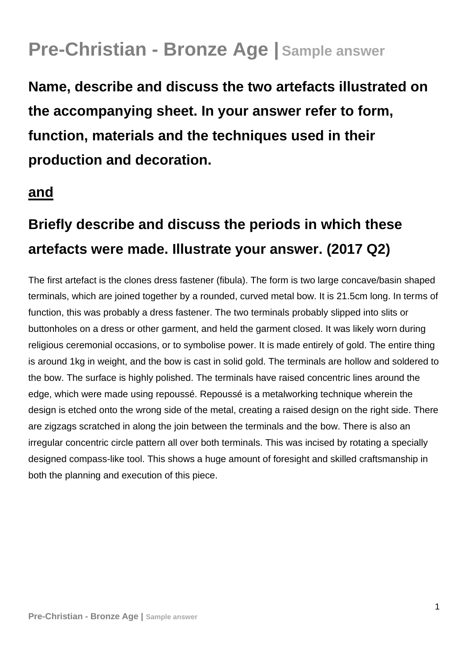## **Pre-Christian - Bronze Age | Sample answer**

**Name, describe and discuss the two artefacts illustrated on the accompanying sheet. In your answer refer to form, function, materials and the techniques used in their production and decoration.** 

## **and**

## **Briefly describe and discuss the periods in which these artefacts were made. Illustrate your answer. (2017 Q2)**

The first artefact is the clones dress fastener (fibula). The form is two large concave/basin shaped terminals, which are joined together by a rounded, curved metal bow. It is 21.5cm long. In terms of function, this was probably a dress fastener. The two terminals probably slipped into slits or buttonholes on a dress or other garment, and held the garment closed. It was likely worn during religious ceremonial occasions, or to symbolise power. It is made entirely of gold. The entire thing is around 1kg in weight, and the bow is cast in solid gold. The terminals are hollow and soldered to the bow. The surface is highly polished. The terminals have raised concentric lines around the edge, which were made using repoussé. Repoussé is a metalworking technique wherein the design is etched onto the wrong side of the metal, creating a raised design on the right side. There are zigzags scratched in along the join between the terminals and the bow. There is also an irregular concentric circle pattern all over both terminals. This was incised by rotating a specially designed compass-like tool. This shows a huge amount of foresight and skilled craftsmanship in both the planning and execution of this piece.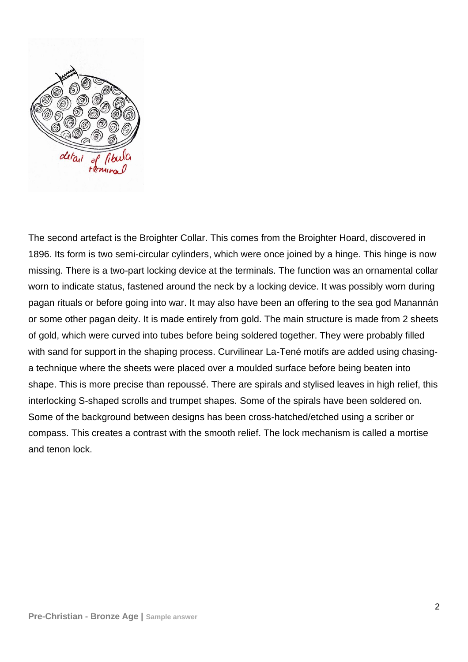

The second artefact is the Broighter Collar. This comes from the Broighter Hoard, discovered in 1896. Its form is two semi-circular cylinders, which were once joined by a hinge. This hinge is now missing. There is a two-part locking device at the terminals. The function was an ornamental collar worn to indicate status, fastened around the neck by a locking device. It was possibly worn during pagan rituals or before going into war. It may also have been an offering to the sea god Manannán or some other pagan deity. It is made entirely from gold. The main structure is made from 2 sheets of gold, which were curved into tubes before being soldered together. They were probably filled with sand for support in the shaping process. Curvilinear La-Tené motifs are added using chasinga technique where the sheets were placed over a moulded surface before being beaten into shape. This is more precise than repoussé. There are spirals and stylised leaves in high relief, this interlocking S-shaped scrolls and trumpet shapes. Some of the spirals have been soldered on. Some of the background between designs has been cross-hatched/etched using a scriber or compass. This creates a contrast with the smooth relief. The lock mechanism is called a mortise and tenon lock.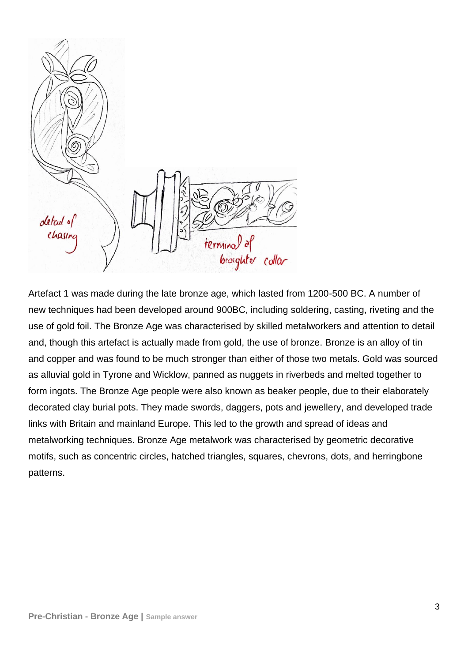

Artefact 1 was made during the late bronze age, which lasted from 1200-500 BC. A number of new techniques had been developed around 900BC, including soldering, casting, riveting and the use of gold foil. The Bronze Age was characterised by skilled metalworkers and attention to detail and, though this artefact is actually made from gold, the use of bronze. Bronze is an alloy of tin and copper and was found to be much stronger than either of those two metals. Gold was sourced as alluvial gold in Tyrone and Wicklow, panned as nuggets in riverbeds and melted together to form ingots. The Bronze Age people were also known as beaker people, due to their elaborately decorated clay burial pots. They made swords, daggers, pots and jewellery, and developed trade links with Britain and mainland Europe. This led to the growth and spread of ideas and metalworking techniques. Bronze Age metalwork was characterised by geometric decorative motifs, such as concentric circles, hatched triangles, squares, chevrons, dots, and herringbone patterns.